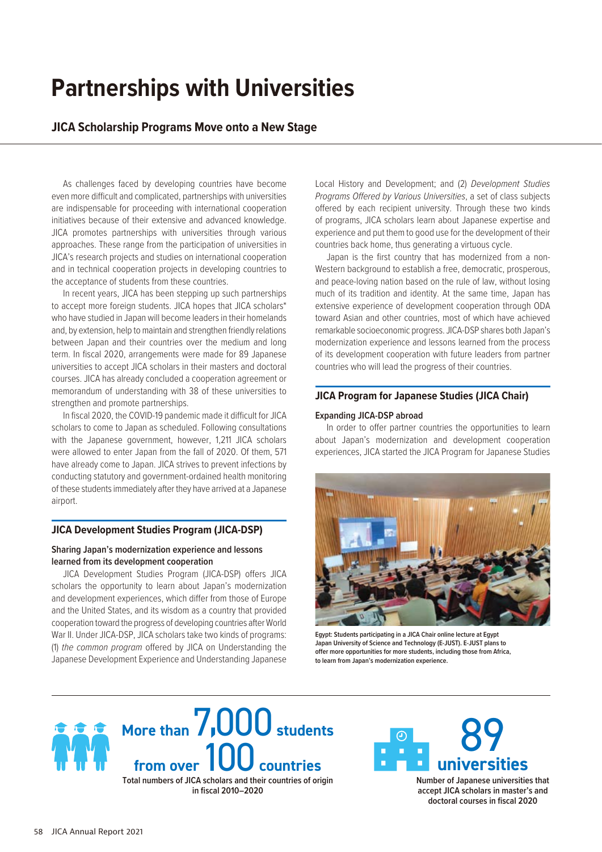# **Partnerships with Universities**

## **JICA Scholarship Programs Move onto a New Stage**

As challenges faced by developing countries have become even more difficult and complicated, partnerships with universities are indispensable for proceeding with international cooperation initiatives because of their extensive and advanced knowledge. JICA promotes partnerships with universities through various approaches. These range from the participation of universities in JICA's research projects and studies on international cooperation and in technical cooperation projects in developing countries to the acceptance of students from these countries.

In recent years, JICA has been stepping up such partnerships to accept more foreign students. JICA hopes that JICA scholars\* who have studied in Japan will become leaders in their homelands and, by extension, help to maintain and strengthen friendly relations between Japan and their countries over the medium and long term. In fiscal 2020, arrangements were made for 89 Japanese universities to accept JICA scholars in their masters and doctoral courses. JICA has already concluded a cooperation agreement or memorandum of understanding with 38 of these universities to strengthen and promote partnerships.

In fiscal 2020, the COVID-19 pandemic made it difficult for JICA scholars to come to Japan as scheduled. Following consultations with the Japanese government, however, 1,211 JICA scholars were allowed to enter Japan from the fall of 2020. Of them, 571 have already come to Japan. JICA strives to prevent infections by conducting statutory and government-ordained health monitoring of these students immediately after they have arrived at a Japanese airport.

### **JICA Development Studies Program (JICA-DSP)**

#### **Sharing Japan's modernization experience and lessons learned from its development cooperation**

JICA Development Studies Program (JICA-DSP) offers JICA scholars the opportunity to learn about Japan's modernization and development experiences, which differ from those of Europe and the United States, and its wisdom as a country that provided cooperation toward the progress of developing countries after World War II. Under JICA-DSP, JICA scholars take two kinds of programs: (1) *the common program* offered by JICA on Understanding the Japanese Development Experience and Understanding Japanese Local History and Development; and (2) *Development Studies Programs Offered by Various Universities*, a set of class subjects offered by each recipient university. Through these two kinds of programs, JICA scholars learn about Japanese expertise and experience and put them to good use for the development of their countries back home, thus generating a virtuous cycle.

Japan is the first country that has modernized from a non-Western background to establish a free, democratic, prosperous, and peace-loving nation based on the rule of law, without losing much of its tradition and identity. At the same time, Japan has extensive experience of development cooperation through ODA toward Asian and other countries, most of which have achieved remarkable socioeconomic progress. JICA-DSP shares both Japan's modernization experience and lessons learned from the process of its development cooperation with future leaders from partner countries who will lead the progress of their countries.

### **JICA Program for Japanese Studies (JICA Chair)**

#### **Expanding JICA-DSP abroad**

In order to offer partner countries the opportunities to learn about Japan's modernization and development cooperation experiences, JICA started the JICA Program for Japanese Studies



**Egypt: Students participating in a JICA Chair online lecture at Egypt Japan University of Science and Technology (E-JUST). E-JUST plans to offer more opportunities for more students, including those from Africa, to learn from Japan's modernization experience.**



**in fiscal 2010–2020**



**Number of Japanese universities that accept JICA scholars in master's and doctoral courses in fiscal 2020**